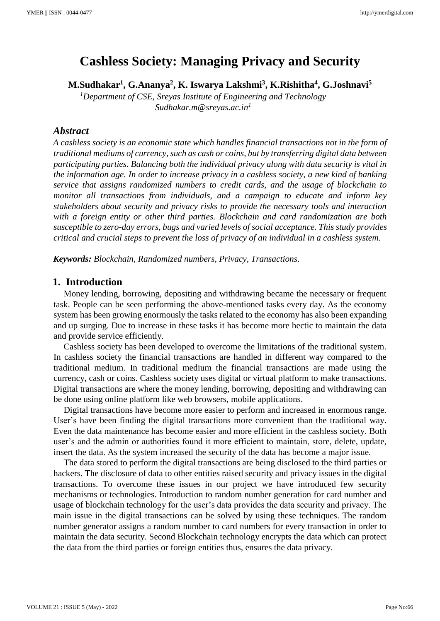# **Cashless Society: Managing Privacy and Security**

**M.Sudhakar<sup>1</sup> , G.Ananya<sup>2</sup> , K. Iswarya Lakshmi<sup>3</sup> , K.Rishitha<sup>4</sup> , G.Joshnavi<sup>5</sup>**

*<sup>1</sup>Department of CSE, Sreyas Institute of Engineering and Technology Sudhakar.m@sreyas.ac.in<sup>1</sup>*

#### *Abstract*

*A cashless society is an economic state which handles financial transactions not in the form of traditional mediums of currency, such as cash or coins, but by transferring digital data between participating parties. Balancing both the individual privacy along with data security is vital in the information age. In order to increase privacy in a cashless society, a new kind of banking service that assigns randomized numbers to credit cards, and the usage of blockchain to monitor all transactions from individuals, and a campaign to educate and inform key stakeholders about security and privacy risks to provide the necessary tools and interaction with a foreign entity or other third parties. Blockchain and card randomization are both susceptible to zero-day errors, bugs and varied levels of social acceptance. This study provides critical and crucial steps to prevent the loss of privacy of an individual in a cashless system.*

*Keywords: Blockchain, Randomized numbers, Privacy, Transactions.* 

### **1. Introduction**

Money lending, borrowing, depositing and withdrawing became the necessary or frequent task. People can be seen performing the above-mentioned tasks every day. As the economy system has been growing enormously the tasks related to the economy has also been expanding and up surging. Due to increase in these tasks it has become more hectic to maintain the data and provide service efficiently.

Cashless society has been developed to overcome the limitations of the traditional system. In cashless society the financial transactions are handled in different way compared to the traditional medium. In traditional medium the financial transactions are made using the currency, cash or coins. Cashless society uses digital or virtual platform to make transactions. Digital transactions are where the money lending, borrowing, depositing and withdrawing can be done using online platform like web browsers, mobile applications.

Digital transactions have become more easier to perform and increased in enormous range. User's have been finding the digital transactions more convenient than the traditional way. Even the data maintenance has become easier and more efficient in the cashless society. Both user's and the admin or authorities found it more efficient to maintain, store, delete, update, insert the data. As the system increased the security of the data has become a major issue.

The data stored to perform the digital transactions are being disclosed to the third parties or hackers. The disclosure of data to other entities raised security and privacy issues in the digital transactions. To overcome these issues in our project we have introduced few security mechanisms or technologies. Introduction to random number generation for card number and usage of blockchain technology for the user's data provides the data security and privacy. The main issue in the digital transactions can be solved by using these techniques. The random number generator assigns a random number to card numbers for every transaction in order to maintain the data security. Second Blockchain technology encrypts the data which can protect the data from the third parties or foreign entities thus, ensures the data privacy.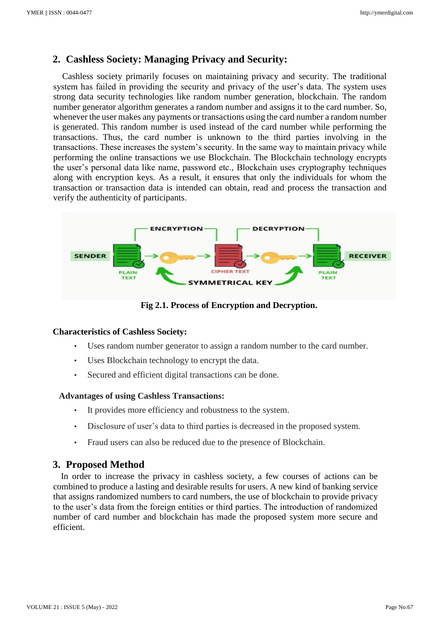# **2. Cashless Society: Managing Privacy and Security:**

Cashless society primarily focuses on maintaining privacy and security. The traditional system has failed in providing the security and privacy of the user's data. The system uses strong data security technologies like random number generation, blockchain. The random number generator algorithm generates a random number and assigns it to the card number. So, whenever the user makes any payments or transactions using the card number a random number is generated. This random number is used instead of the card number while performing the transactions. Thus, the card number is unknown to the third parties involving in the transactions. These increases the system's security. In the same way to maintain privacy while performing the online transactions we use Blockchain. The Blockchain technology encrypts the user's personal data like name, password etc., Blockchain uses cryptography techniques along with encryption keys. As a result, it ensures that only the individuals for whom the transaction or transaction data is intended can obtain, read and process the transaction and verify the authenticity of participants.



 **Fig 2.1. Process of Encryption and Decryption.**

#### **Characteristics of Cashless Society:**

- Uses random number generator to assign a random number to the card number.
- Uses Blockchain technology to encrypt the data.
- Secured and efficient digital transactions can be done.

#### **Advantages of using Cashless Transactions:**

- It provides more efficiency and robustness to the system.
- Disclosure of user's data to third parties is decreased in the proposed system.
- Fraud users can also be reduced due to the presence of Blockchain.

# **3. Proposed Method**

In order to increase the privacy in cashless society, a few courses of actions can be combined to produce a lasting and desirable results for users. A new kind of banking service that assigns randomized numbers to card numbers, the use of blockchain to provide privacy to the user's data from the foreign entities or third parties. The introduction of randomized number of card number and blockchain has made the proposed system more secure and efficient.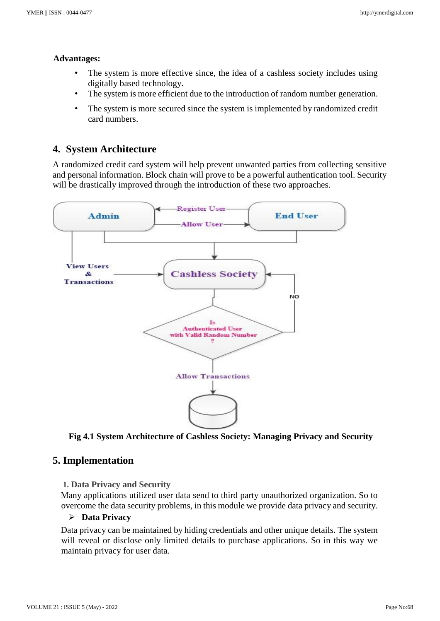#### **Advantages:**

- The system is more effective since, the idea of a cashless society includes using digitally based technology.
- The system is more efficient due to the introduction of random number generation.
- The system is more secured since the system is implemented by randomized credit card numbers.

# **4. System Architecture**

A randomized credit card system will help prevent unwanted parties from collecting sensitive and personal information. Block chain will prove to be a powerful authentication tool. Security will be drastically improved through the introduction of these two approaches.



 **Fig 4.1 System Architecture of Cashless Society: Managing Privacy and Security**

# **5. Implementation**

#### **1. Data Privacy and Security**

Many applications utilized user data send to third party unauthorized organization. So to overcome the data security problems, in this module we provide data privacy and security.

### ➢ **Data Privacy**

Data privacy can be maintained by hiding credentials and other unique details. The system will reveal or disclose only limited details to purchase applications. So in this way we maintain privacy for user data.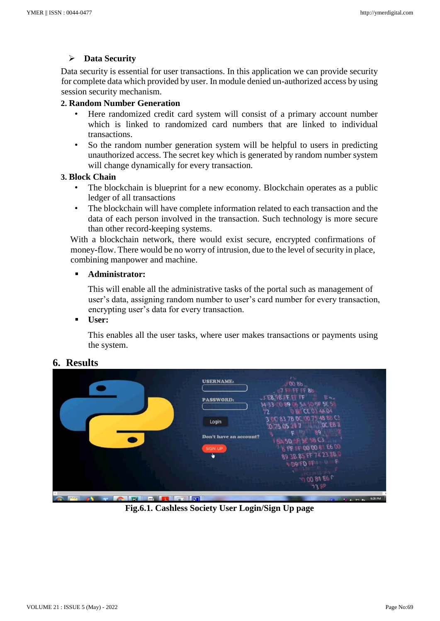### ➢ **Data Security**

Data security is essential for user transactions. In this application we can provide security for complete data which provided by user. In module denied un-authorized access by using session security mechanism.

### **2. Random Number Generation**

- Here randomized credit card system will consist of a primary account number which is linked to randomized card numbers that are linked to individual transactions.
- So the random number generation system will be helpful to users in predicting unauthorized access. The secret key which is generated by random number system will change dynamically for every transaction.

#### **3. Block Chain**

- The blockchain is blueprint for a new economy. Blockchain operates as a public ledger of all transactions
- The blockchain will have complete information related to each transaction and the data of each person involved in the transaction. Such technology is more secure than other record-keeping systems.

With a blockchain network, there would exist secure, encrypted confirmations of money-flow. There would be no worry of intrusion, due to the level of security in place, combining manpower and machine.

### ▪ **Administrator:**

This will enable all the administrative tasks of the portal such as management of user's data, assigning random number to user's card number for every transaction, encrypting user's data for every transaction.

### ▪ **User:**

This enables all the user tasks, where user makes transactions or payments using the system.

# **6. Results**



**Fig.6.1. Cashless Society User Login/Sign Up page**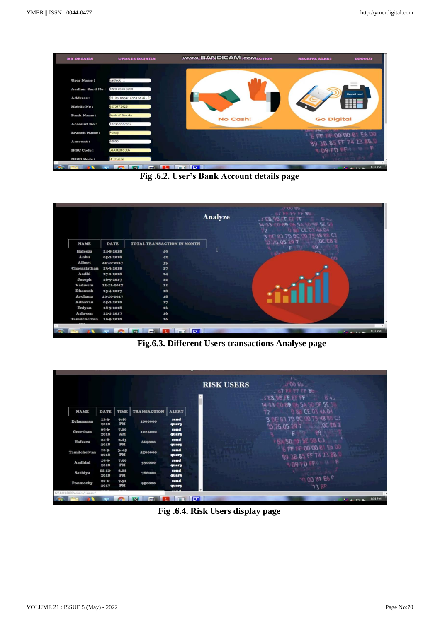

**Fig .6.2. User's Bank Account details page** 



**Fig.6.3. Different Users transactions Analyse page** 

|                                 |                           |                   |                    |               | <b>RISK USERS</b> | ナン<br>$-100Bb$<br>$-67$ FF FF FF 86<br>$-5E8,9B,FEEFFF$<br>84.<br>14-33 0 89 6 5A 50 5F 5E 5 |                                  |
|---------------------------------|---------------------------|-------------------|--------------------|---------------|-------------------|----------------------------------------------------------------------------------------------|----------------------------------|
| <b>NAME</b>                     | <b>DATE</b>               | <b>TIME</b>       | <b>TRANSACTION</b> | <b>ALERT</b>  |                   | <b>D &amp; CE 0 4A 04</b><br>72                                                              |                                  |
| <b>Eelamaran</b>                | $22 - 3 -$<br><b>2018</b> | 9.46<br>PM        | 1000000            | send<br>query |                   | OC 83 7B OC 00 75 48 88 C2<br>OCEB <sub>1</sub><br>TO 75 05 29 7                             |                                  |
| Geerthan                        | $05 - 6 -$<br>2018        | 7.00<br>AM        | 1223000            | send<br>query |                   | -89                                                                                          |                                  |
| <b>Hafeeza</b>                  | $24 - 8$<br>2018          | 2.43<br><b>PM</b> | 669000             | send<br>query |                   | <b>FL 58 C3</b><br><b>FLA 5D</b>                                                             |                                  |
| <b>Tamilchelvan</b>             | $10 - 9 -$<br>2018        | 3.45<br>PM        | 2500000            | send<br>query |                   | <b>SPF IF 00 00 81 E6 00</b><br>89 3B 85 FF 74 23 8B 0                                       |                                  |
| Aadhini                         | $15-9-$<br>2018           | 7.56<br>PM        | 590000             | send<br>query |                   | <b>SIDAIFD PRO U. F.</b>                                                                     |                                  |
| <b>Sathiya</b>                  | 11.12<br>2018             | 2.02<br>PM        | 786000             | send<br>query |                   |                                                                                              |                                  |
| Ponmozhy                        | $20 - 1$<br>2017          | 9.51<br><b>PM</b> | 950000             | send<br>query |                   | $-0.0081E6P$<br>73 RP                                                                        |                                  |
| 127.0.0.1:8000/admins/riskuser/ |                           |                   |                    |               |                   |                                                                                              |                                  |
|                                 |                           |                   | -                  |               | <b>RTI</b>        |                                                                                              | 6:34 PM<br><b>Painter Profit</b> |

**Fig .6.4. Risk Users display page**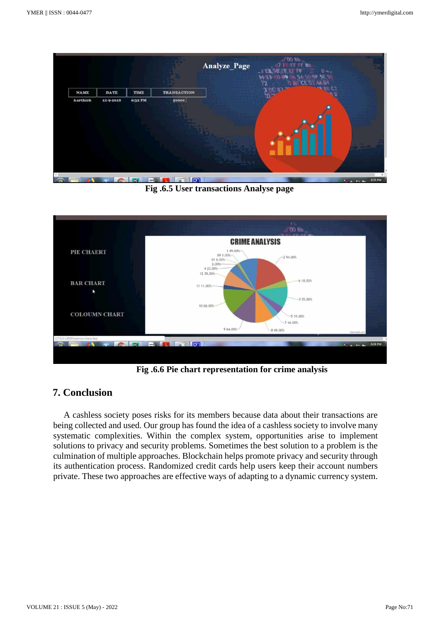

**Fig .6.5 User transactions Analyse page** 



**Fig .6.6 Pie chart representation for crime analysis** 

# **7. Conclusion**

A cashless society poses risks for its members because data about their transactions are being collected and used. Our group has found the idea of a cashless society to involve many systematic complexities. Within the complex system, opportunities arise to implement solutions to privacy and security problems. Sometimes the best solution to a problem is the culmination of multiple approaches. Blockchain helps promote privacy and security through its authentication process. Randomized credit cards help users keep their account numbers private. These two approaches are effective ways of adapting to a dynamic currency system.